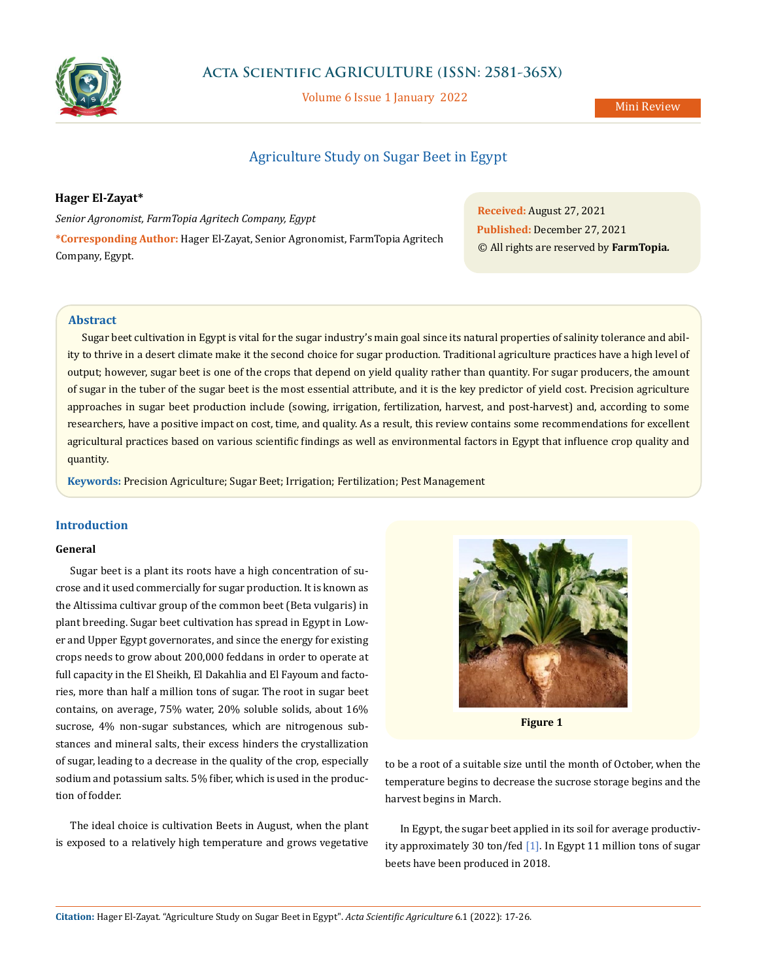

# **Acta Scientific AGRICULTURE (ISSN: 2581-365X)**

Volume 6 Issue 1 January 2022

# Agriculture Study on Sugar Beet in Egypt

# **Hager El-Zayat\***

*Senior Agronomist, FarmTopia Agritech Company, Egypt* **\*Corresponding Author:** Hager El-Zayat, Senior Agronomist, FarmTopia Agritech Company, Egypt.

**Received:** August 27, 2021 **Published:** December 27, 2021 © All rights are reserved by **FarmTopia***.*

# **Abstract**

Sugar beet cultivation in Egypt is vital for the sugar industry's main goal since its natural properties of salinity tolerance and ability to thrive in a desert climate make it the second choice for sugar production. Traditional agriculture practices have a high level of output; however, sugar beet is one of the crops that depend on yield quality rather than quantity. For sugar producers, the amount of sugar in the tuber of the sugar beet is the most essential attribute, and it is the key predictor of yield cost. Precision agriculture approaches in sugar beet production include (sowing, irrigation, fertilization, harvest, and post-harvest) and, according to some researchers, have a positive impact on cost, time, and quality. As a result, this review contains some recommendations for excellent agricultural practices based on various scientific findings as well as environmental factors in Egypt that influence crop quality and quantity.

**Keywords:** Precision Agriculture; Sugar Beet; Irrigation; Fertilization; Pest Management

# **Introduction**

### **General**

Sugar beet is a plant its roots have a high concentration of sucrose and it used commercially for sugar production. It is known as the Altissima cultivar group of the common beet (Beta vulgaris) in plant breeding. Sugar beet cultivation has spread in Egypt in Lower and Upper Egypt governorates, and since the energy for existing crops needs to grow about 200,000 feddans in order to operate at full capacity in the El Sheikh, El Dakahlia and El Fayoum and factories, more than half a million tons of sugar. The root in sugar beet contains, on average, 75% water, 20% soluble solids, about 16% sucrose, 4% non-sugar substances, which are nitrogenous substances and mineral salts, their excess hinders the crystallization of sugar, leading to a decrease in the quality of the crop, especially sodium and potassium salts. 5% fiber, which is used in the production of fodder.

The ideal choice is cultivation Beets in August, when the plant is exposed to a relatively high temperature and grows vegetative



**Figure 1**

to be a root of a suitable size until the month of October, when the temperature begins to decrease the sucrose storage begins and the harvest begins in March.

In Egypt, the sugar beet applied in its soil for average productivity approximately 30 ton/fed [1]. In Egypt 11 million tons of sugar beets have been produced in 2018.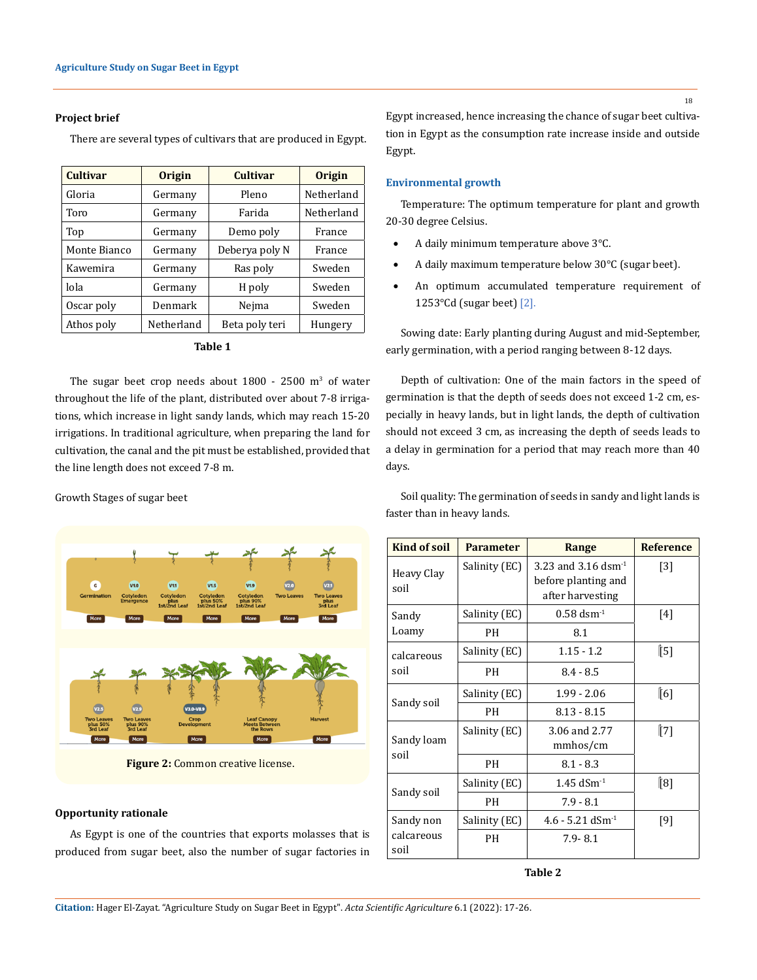#### **Project brief**

There are several types of cultivars that are produced in Egypt.

| <b>Cultivar</b> | <b>Origin</b> | Cultivar       | <b>Origin</b> |  |
|-----------------|---------------|----------------|---------------|--|
| Gloria          | Germany       | Pleno          | Netherland    |  |
| Toro            | Germany       | Farida         | Netherland    |  |
| Top             | Germany       | Demo poly      | France        |  |
| Monte Bianco    | Germany       | Deberya poly N | France        |  |
| Kawemira        | Germany       | Ras poly       | Sweden        |  |
| lola            | Germany       | H poly         | Sweden        |  |
| Oscar poly      | Denmark       | Nejma          | Sweden        |  |
| Athos poly      | Netherland    | Beta poly teri | Hungery       |  |

| ×.<br>۰.<br>. .<br>۰,<br>×<br>× |  |
|---------------------------------|--|
|---------------------------------|--|

The sugar beet crop needs about  $1800 - 2500$  m<sup>3</sup> of water throughout the life of the plant, distributed over about 7-8 irrigations, which increase in light sandy lands, which may reach 15-20 irrigations. In traditional agriculture, when preparing the land for cultivation, the canal and the pit must be established, provided that the line length does not exceed 7-8 m.

Growth Stages of sugar beet



**Figure 2:** Common creative license.

#### **Opportunity rationale**

As Egypt is one of the countries that exports molasses that is produced from sugar beet, also the number of sugar factories in Egypt increased, hence increasing the chance of sugar beet cultivation in Egypt as the consumption rate increase inside and outside Egypt.

#### **Environmental growth**

Temperature: The optimum temperature for plant and growth 20-30 degree Celsius.

- A daily minimum temperature above 3°C.
- A daily maximum temperature below 30°C (sugar beet).
- • An optimum accumulated temperature requirement of 1253 $\textdegree$ Cd (sugar beet) [2].

Sowing date: Early planting during August and mid-September, early germination, with a period ranging between 8-12 days.

Depth of cultivation: One of the main factors in the speed of germination is that the depth of seeds does not exceed 1-2 cm, especially in heavy lands, but in light lands, the depth of cultivation should not exceed 3 cm, as increasing the depth of seeds leads to a delay in germination for a period that may reach more than 40 days.

Soil quality: The germination of seeds in sandy and light lands is faster than in heavy lands.

| <b>Kind of soil</b> | <b>Parameter</b> | Range                                                                     | <b>Reference</b> |
|---------------------|------------------|---------------------------------------------------------------------------|------------------|
| Heavy Clay<br>soil  | Salinity (EC)    | 3.23 and 3.16 dsm <sup>1</sup><br>before planting and<br>after harvesting | $[3]$            |
| Sandy               | Salinity (EC)    | $0.58$ dsm <sup>-1</sup>                                                  | $[4]$            |
| Loamy               | PH               | 8.1                                                                       |                  |
| calcareous          | Salinity (EC)    | $1.15 - 1.2$                                                              | ∫5]              |
| soil                | PH               | $8.4 - 8.5$                                                               |                  |
|                     | Salinity (EC)    | $1.99 - 2.06$                                                             | [6]              |
| Sandy soil          | PH               | $8.13 - 8.15$                                                             |                  |
| Sandy loam          | Salinity (EC)    | 3.06 and 2.77<br>mmhos/cm                                                 | ∫⊺7]             |
| soil                | PН               | $8.1 - 8.3$                                                               |                  |
|                     | Salinity (EC)    | $1.45$ dSm <sup>-1</sup>                                                  | [8]              |
| Sandy soil          | PH               | $7.9 - 8.1$                                                               |                  |
| Sandy non           | Salinity (EC)    | $4.6 - 5.21$ dSm <sup>-1</sup>                                            | $[9]$            |
| calcareous<br>soil  | PH               | $7.9 - 8.1$                                                               |                  |

**Table 2**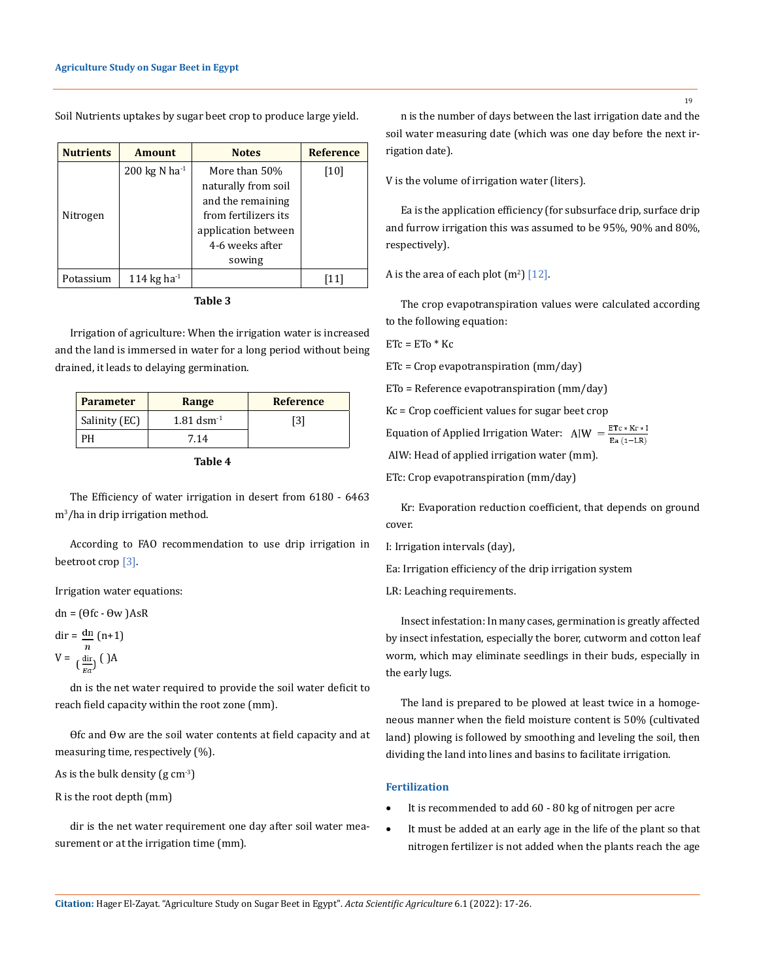Soil Nutrients uptakes by sugar beet crop to produce large yield.

| <b>Nutrients</b> | <b>Amount</b>       | <b>Notes</b>         | <b>Reference</b> |
|------------------|---------------------|----------------------|------------------|
|                  | 200 kg N ha $^{-1}$ | More than 50%        | [10]             |
|                  |                     | naturally from soil  |                  |
|                  |                     | and the remaining    |                  |
| Nitrogen         |                     | from fertilizers its |                  |
|                  |                     | application between  |                  |
|                  |                     | 4-6 weeks after      |                  |
|                  |                     | sowing               |                  |
| Potassium        | 114 kg ha $^{-1}$   |                      |                  |

**Table 3**

Irrigation of agriculture: When the irrigation water is increased and the land is immersed in water for a long period without being drained, it leads to delaying germination.

| <b>Parameter</b> | Range                    | <b>Reference</b> |
|------------------|--------------------------|------------------|
| Salinity (EC)    | $1.81$ dsm <sup>-1</sup> | [3]              |
| PН               | 7.14                     |                  |

```
Table 4
```
The Efficiency of water irrigation in desert from 6180 - 6463 m<sup>3</sup> /ha in drip irrigation method.

According to FAO recommendation to use drip irrigation in beetroot crop [3].

Irrigation water equations:

 $dn = (\theta f c - \theta w)$ AsR

dir =  $\mathfrak{m}$  (n+1)  $V = \lim_{\epsilon \to 0} (JA$ 

dn is the net water required to provide the soil water deficit to reach field capacity within the root zone (mm).

Ofc and Ow are the soil water contents at field capacity and at measuring time, respectively (%).

As is the bulk density  $(g \, cm^{-3})$ 

R is the root depth (mm)

dir is the net water requirement one day after soil water measurement or at the irrigation time (mm).

n is the number of days between the last irrigation date and the soil water measuring date (which was one day before the next irrigation date).

V is the volume of irrigation water (liters).

Ea is the application efficiency (for subsurface drip, surface drip and furrow irrigation this was assumed to be 95%, 90% and 80%, respectively).

A is the area of each plot  $(m^2)$  [12].

The crop evapotranspiration values were calculated according to the following equation:

 $ETc = ETo * Kc$ 

ETc = Crop evapotranspiration (mm/day)

ETo = Reference evapotranspiration (mm/day)

Kc = Crop coefficient values for sugar beet crop

Equation of Applied Irrigation Water: AIW =  $\frac{ETc * Kr * I}{Fc}$ 

AIW: Head of applied irrigation water (mm).

ETc: Crop evapotranspiration (mm/day)

Kr: Evaporation reduction coefficient, that depends on ground cover.

I: Irrigation intervals (day),

Ea: Irrigation efficiency of the drip irrigation system

LR: Leaching requirements.

Insect infestation: In many cases, germination is greatly affected by insect infestation, especially the borer, cutworm and cotton leaf worm, which may eliminate seedlings in their buds, especially in the early lugs.

The land is prepared to be plowed at least twice in a homogeneous manner when the field moisture content is 50% (cultivated land) plowing is followed by smoothing and leveling the soil, then dividing the land into lines and basins to facilitate irrigation.

#### **Fertilization**

- It is recommended to add 60 80 kg of nitrogen per acre
- It must be added at an early age in the life of the plant so that nitrogen fertilizer is not added when the plants reach the age

**Citation:** Hager El-Zayat*.* "Agriculture Study on Sugar Beet in Egypt". *Acta Scientific Agriculture* 6.1 (2022): 17-26.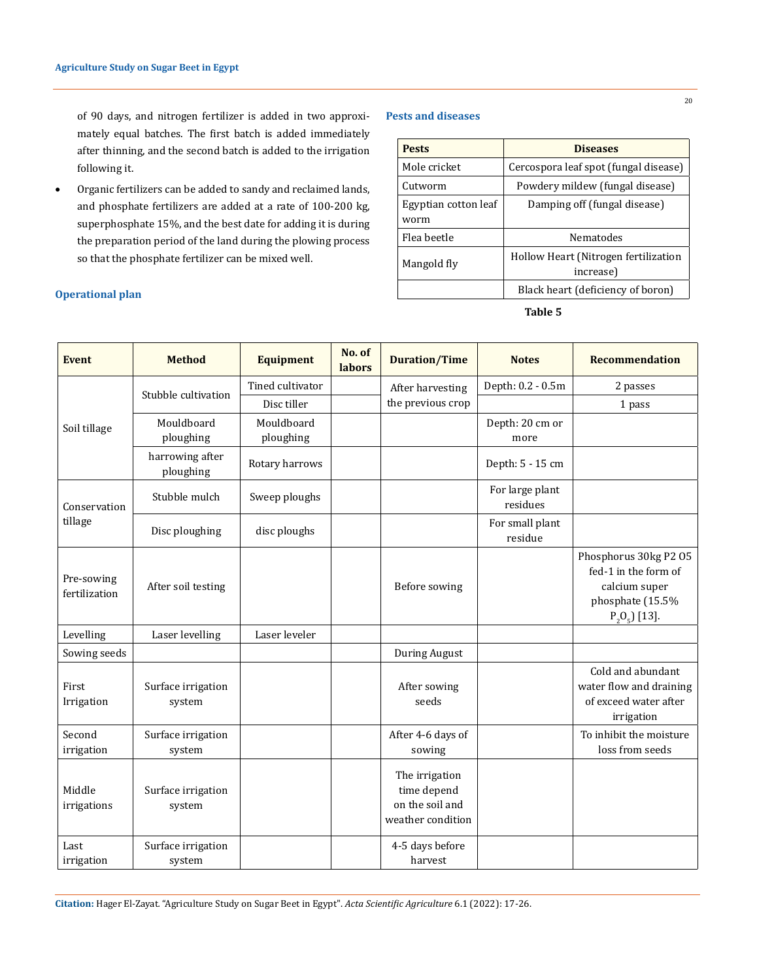of 90 days, and nitrogen fertilizer is added in two approximately equal batches. The first batch is added immediately after thinning, and the second batch is added to the irrigation following it.

• Organic fertilizers can be added to sandy and reclaimed lands, and phosphate fertilizers are added at a rate of 100-200 kg, superphosphate 15%, and the best date for adding it is during the preparation period of the land during the plowing process so that the phosphate fertilizer can be mixed well.

# **Operational plan**

#### **Pests and diseases**

| <b>Pests</b>                 | <b>Diseases</b>                                   |
|------------------------------|---------------------------------------------------|
| Mole cricket                 | Cercospora leaf spot (fungal disease)             |
| Cutworm                      | Powdery mildew (fungal disease)                   |
| Egyptian cotton leaf<br>worm | Damping off (fungal disease)                      |
| Flea beetle                  | Nematodes                                         |
| Mangold fly                  | Hollow Heart (Nitrogen fertilization<br>increase) |
|                              | Black heart (deficiency of boron)                 |

## **Table 5**

| <b>Event</b>                | <b>Method</b>                | <b>Equipment</b>        | No. of<br>labors | <b>Duration/Time</b>                                                  | <b>Notes</b>                | <b>Recommendation</b>                                                                                  |
|-----------------------------|------------------------------|-------------------------|------------------|-----------------------------------------------------------------------|-----------------------------|--------------------------------------------------------------------------------------------------------|
|                             | Stubble cultivation          | Tined cultivator        |                  | After harvesting                                                      | Depth: 0.2 - 0.5m           | 2 passes                                                                                               |
|                             |                              | Disc tiller             |                  | the previous crop                                                     |                             | 1 pass                                                                                                 |
| Soil tillage                | Mouldboard<br>ploughing      | Mouldboard<br>ploughing |                  |                                                                       | Depth: 20 cm or<br>more     |                                                                                                        |
|                             | harrowing after<br>ploughing | Rotary harrows          |                  |                                                                       | Depth: 5 - 15 cm            |                                                                                                        |
| Conservation                | Stubble mulch                | Sweep ploughs           |                  |                                                                       | For large plant<br>residues |                                                                                                        |
| tillage                     | Disc ploughing               | disc ploughs            |                  |                                                                       | For small plant<br>residue  |                                                                                                        |
| Pre-sowing<br>fertilization | After soil testing           |                         |                  | Before sowing                                                         |                             | Phosphorus 30kg P2 05<br>fed-1 in the form of<br>calcium super<br>phosphate (15.5%<br>$P_2O_5$ ] [13]. |
| Levelling                   | Laser levelling              | Laser leveler           |                  |                                                                       |                             |                                                                                                        |
| Sowing seeds                |                              |                         |                  | During August                                                         |                             |                                                                                                        |
| First<br>Irrigation         | Surface irrigation<br>system |                         |                  | After sowing<br>seeds                                                 |                             | Cold and abundant<br>water flow and draining<br>of exceed water after<br>irrigation                    |
| Second<br>irrigation        | Surface irrigation<br>system |                         |                  | After 4-6 days of<br>sowing                                           |                             | To inhibit the moisture<br>loss from seeds                                                             |
| Middle<br>irrigations       | Surface irrigation<br>system |                         |                  | The irrigation<br>time depend<br>on the soil and<br>weather condition |                             |                                                                                                        |
| Last<br>irrigation          | Surface irrigation<br>system |                         |                  | 4-5 days before<br>harvest                                            |                             |                                                                                                        |

**Citation:** Hager El-Zayat*.* "Agriculture Study on Sugar Beet in Egypt". *Acta Scientific Agriculture* 6.1 (2022): 17-26.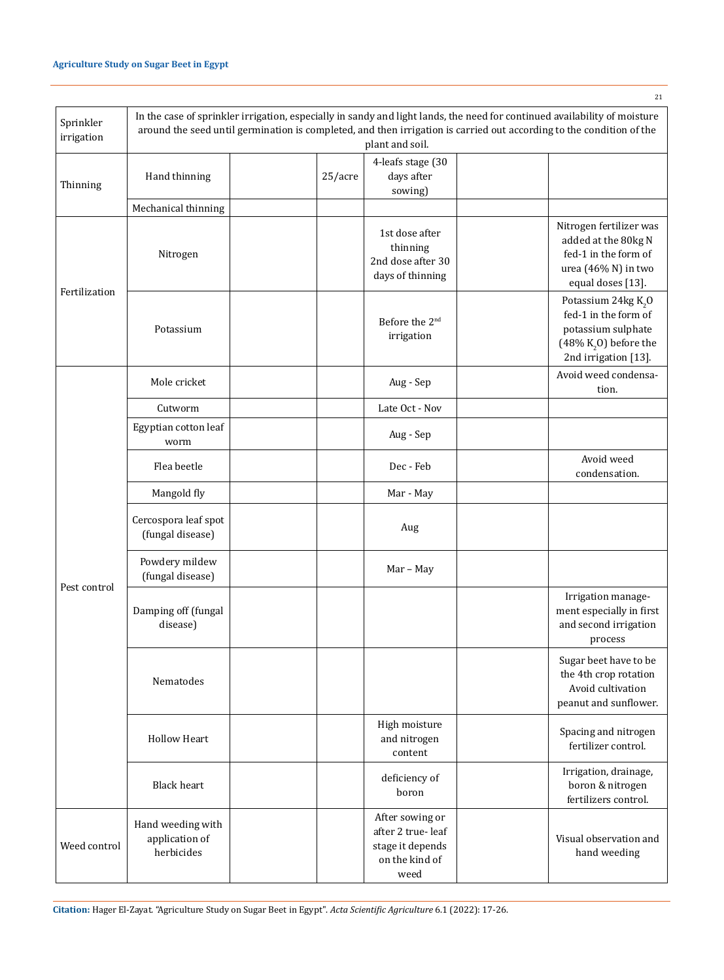Sprinkler irrigation

|                     |            |                                                                                | In the case of sprinkler irrigation, especially in sandy and light lands, the need for continued availability of moisture |
|---------------------|------------|--------------------------------------------------------------------------------|---------------------------------------------------------------------------------------------------------------------------|
|                     |            | plant and soil.                                                                | around the seed until germination is completed, and then irrigation is carried out according to the condition of the      |
| Hand thinning       | $25/$ acre | 4-leafs stage (30)<br>days after<br>sowing)                                    |                                                                                                                           |
| Mechanical thinning |            |                                                                                |                                                                                                                           |
| Nitrogen            |            | 1st dose after<br>thinning<br>2nd dose after 30<br>$\sim$ $\sim$ $\sim$ $\sim$ | Nitrogen fertilizer was<br>added at the 80 kg N<br>fed-1 in the form of<br>urea $(46\% N)$ in two                         |

| Thinning      | Hand thinning                                     | 25/acre | 4-leafs stage (30<br>days after<br>sowing)                                         |                                                                                                                        |
|---------------|---------------------------------------------------|---------|------------------------------------------------------------------------------------|------------------------------------------------------------------------------------------------------------------------|
|               | Mechanical thinning                               |         |                                                                                    |                                                                                                                        |
|               | Nitrogen                                          |         | 1st dose after<br>thinning<br>2nd dose after 30<br>days of thinning                | Nitrogen fertilizer was<br>added at the 80kg N<br>fed-1 in the form of<br>urea (46% N) in two<br>equal doses [13].     |
| Fertilization | Potassium                                         |         | Before the 2 <sup>nd</sup><br>irrigation                                           | Potassium 24 $kg K2O$<br>fed-1 in the form of<br>potassium sulphate<br>(48% $K2$ O) before the<br>2nd irrigation [13]. |
|               | Mole cricket                                      |         | Aug - Sep                                                                          | Avoid weed condensa-<br>tion.                                                                                          |
|               | Cutworm                                           |         | Late Oct - Nov                                                                     |                                                                                                                        |
|               | Egyptian cotton leaf<br>worm                      |         | Aug - Sep                                                                          |                                                                                                                        |
|               | Flea beetle                                       |         | Dec - Feb                                                                          | Avoid weed<br>condensation.                                                                                            |
|               | Mangold fly                                       |         | Mar - May                                                                          |                                                                                                                        |
| Pest control  | Cercospora leaf spot<br>(fungal disease)          |         | Aug                                                                                |                                                                                                                        |
|               | Powdery mildew<br>(fungal disease)                |         | Mar - May                                                                          |                                                                                                                        |
|               | Damping off (fungal<br>disease)                   |         |                                                                                    | Irrigation manage-<br>ment especially in first<br>and second irrigation<br>process                                     |
|               | Nematodes                                         |         |                                                                                    | Sugar beet have to be<br>the 4th crop rotation<br>Avoid cultivation<br>peanut and sunflower.                           |
|               | <b>Hollow Heart</b>                               |         | High moisture<br>and nitrogen<br>content                                           | Spacing and nitrogen<br>fertilizer control.                                                                            |
|               | <b>Black heart</b>                                |         | deficiency of<br>boron                                                             | Irrigation, drainage,<br>boron & nitrogen<br>fertilizers control.                                                      |
| Weed control  | Hand weeding with<br>application of<br>herbicides |         | After sowing or<br>after 2 true-leaf<br>stage it depends<br>on the kind of<br>weed | Visual observation and<br>hand weeding                                                                                 |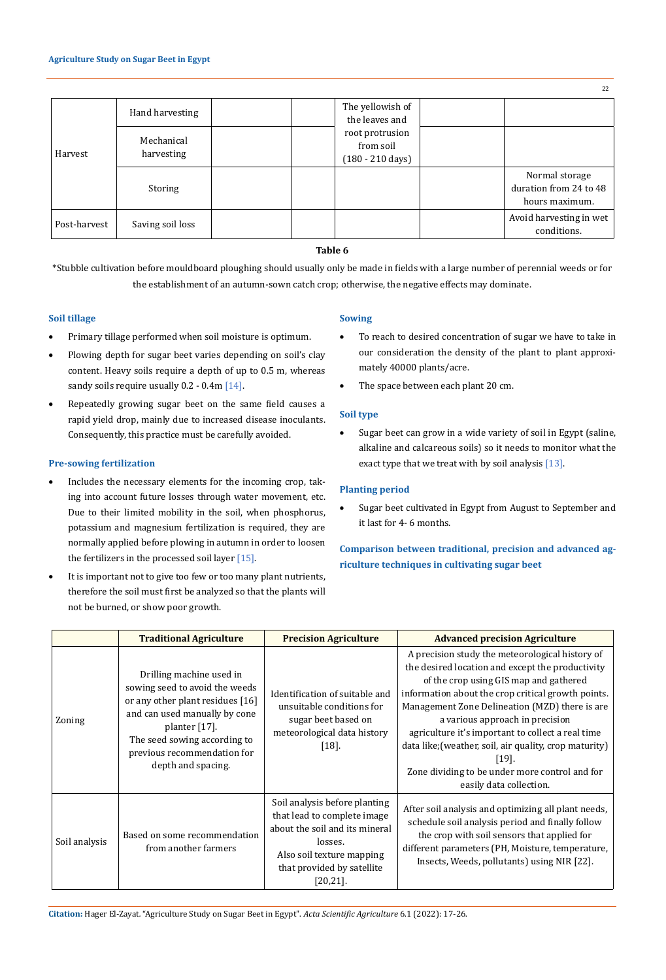|              |                          |                                                            | 22                                                         |
|--------------|--------------------------|------------------------------------------------------------|------------------------------------------------------------|
| Harvest      | Hand harvesting          | The yellowish of<br>the leaves and                         |                                                            |
|              | Mechanical<br>harvesting | root protrusion<br>from soil<br>$(180 - 210 \text{ days})$ |                                                            |
|              | Storing                  |                                                            | Normal storage<br>duration from 24 to 48<br>hours maximum. |
| Post-harvest | Saving soil loss         |                                                            | Avoid harvesting in wet<br>conditions.                     |

### **Table 6**

\*Stubble cultivation before mouldboard ploughing should usually only be made in fields with a large number of perennial weeds or for the establishment of an autumn-sown catch crop; otherwise, the negative effects may dominate.

# **Soil tillage**

- • Primary tillage performed when soil moisture is optimum.
- Plowing depth for sugar beet varies depending on soil's clay content. Heavy soils require a depth of up to 0.5 m, whereas sandy soils require usually 0.2 - 0.4m [14].
- Repeatedly growing sugar beet on the same field causes a rapid yield drop, mainly due to increased disease inoculants. Consequently, this practice must be carefully avoided.

### **Pre-sowing fertilization**

- Includes the necessary elements for the incoming crop, taking into account future losses through water movement, etc. Due to their limited mobility in the soil, when phosphorus, potassium and magnesium fertilization is required, they are normally applied before plowing in autumn in order to loosen the fertilizers in the processed soil layer [15].
- It is important not to give too few or too many plant nutrients, therefore the soil must first be analyzed so that the plants will not be burned, or show poor growth.

### **Sowing**

- To reach to desired concentration of sugar we have to take in our consideration the density of the plant to plant approximately 40000 plants/acre.
- • The space between each plant 20 cm.

### **Soil type**

• Sugar beet can grow in a wide variety of soil in Egypt (saline, alkaline and calcareous soils) so it needs to monitor what the exact type that we treat with by soil analysis [13].

## **Planting period**

Sugar beet cultivated in Egypt from August to September and it last for 4- 6 months.

# **Comparison between traditional, precision and advanced agriculture techniques in cultivating sugar beet**

|               | <b>Traditional Agriculture</b>                                                                                                                                                                                                        | <b>Precision Agriculture</b>                                                                                                                                                        | <b>Advanced precision Agriculture</b>                                                                                                                                                                                                                                                                                                                                                                                                                                                        |
|---------------|---------------------------------------------------------------------------------------------------------------------------------------------------------------------------------------------------------------------------------------|-------------------------------------------------------------------------------------------------------------------------------------------------------------------------------------|----------------------------------------------------------------------------------------------------------------------------------------------------------------------------------------------------------------------------------------------------------------------------------------------------------------------------------------------------------------------------------------------------------------------------------------------------------------------------------------------|
| Zoning        | Drilling machine used in<br>sowing seed to avoid the weeds<br>or any other plant residues [16]<br>and can used manually by cone<br>planter [17].<br>The seed sowing according to<br>previous recommendation for<br>depth and spacing. | Identification of suitable and<br>unsuitable conditions for<br>sugar beet based on<br>meteorological data history<br>$[18].$                                                        | A precision study the meteorological history of<br>the desired location and except the productivity<br>of the crop using GIS map and gathered<br>information about the crop critical growth points.<br>Management Zone Delineation (MZD) there is are<br>a various approach in precision<br>agriculture it's important to collect a real time<br>data like; (weather, soil, air quality, crop maturity)<br>[19]<br>Zone dividing to be under more control and for<br>easily data collection. |
| Soil analysis | Based on some recommendation<br>from another farmers                                                                                                                                                                                  | Soil analysis before planting<br>that lead to complete image<br>about the soil and its mineral<br>losses.<br>Also soil texture mapping<br>that provided by satellite<br>$[20,21]$ . | After soil analysis and optimizing all plant needs,<br>schedule soil analysis period and finally follow<br>the crop with soil sensors that applied for<br>different parameters (PH, Moisture, temperature,<br>Insects, Weeds, pollutants) using NIR [22].                                                                                                                                                                                                                                    |

**Citation:** Hager El-Zayat*.* "Agriculture Study on Sugar Beet in Egypt". *Acta Scientific Agriculture* 6.1 (2022): 17-26.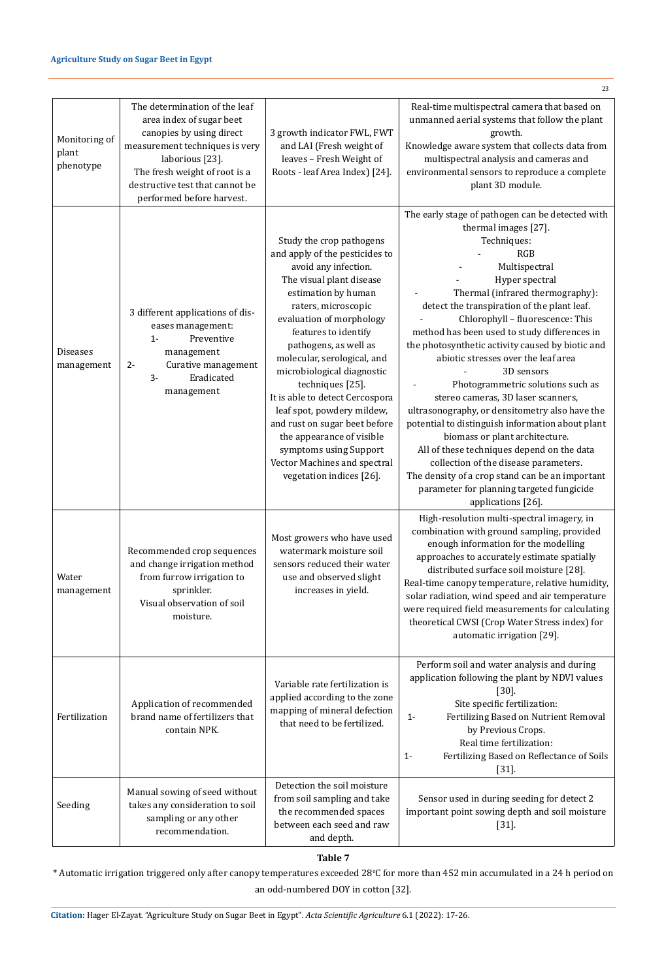### **Agriculture Study on Sugar Beet in Egypt**

|                                     |                                                                                                                                                                                                                                             |                                                                                                                                                                                                                                                                                                                                                                                                                                                                                                                                                 | 23                                                                                                                                                                                                                                                                                                                                                                                                                                                                                                                                                                                                                                                                                                                                                                                                                                                |
|-------------------------------------|---------------------------------------------------------------------------------------------------------------------------------------------------------------------------------------------------------------------------------------------|-------------------------------------------------------------------------------------------------------------------------------------------------------------------------------------------------------------------------------------------------------------------------------------------------------------------------------------------------------------------------------------------------------------------------------------------------------------------------------------------------------------------------------------------------|---------------------------------------------------------------------------------------------------------------------------------------------------------------------------------------------------------------------------------------------------------------------------------------------------------------------------------------------------------------------------------------------------------------------------------------------------------------------------------------------------------------------------------------------------------------------------------------------------------------------------------------------------------------------------------------------------------------------------------------------------------------------------------------------------------------------------------------------------|
| Monitoring of<br>plant<br>phenotype | The determination of the leaf<br>area index of sugar beet<br>canopies by using direct<br>measurement techniques is very<br>laborious [23].<br>The fresh weight of root is a<br>destructive test that cannot be<br>performed before harvest. | 3 growth indicator FWL, FWT<br>and LAI (Fresh weight of<br>leaves - Fresh Weight of<br>Roots - leaf Area Index) [24].                                                                                                                                                                                                                                                                                                                                                                                                                           | Real-time multispectral camera that based on<br>unmanned aerial systems that follow the plant<br>growth.<br>Knowledge aware system that collects data from<br>multispectral analysis and cameras and<br>environmental sensors to reproduce a complete<br>plant 3D module.                                                                                                                                                                                                                                                                                                                                                                                                                                                                                                                                                                         |
| <b>Diseases</b><br>management       | 3 different applications of dis-<br>eases management:<br>Preventive<br>$1-$<br>management<br>Curative management<br>$2 -$<br>$3-$<br>Eradicated<br>management                                                                               | Study the crop pathogens<br>and apply of the pesticides to<br>avoid any infection.<br>The visual plant disease<br>estimation by human<br>raters, microscopic<br>evaluation of morphology<br>features to identify<br>pathogens, as well as<br>molecular, serological, and<br>microbiological diagnostic<br>techniques [25].<br>It is able to detect Cercospora<br>leaf spot, powdery mildew,<br>and rust on sugar beet before<br>the appearance of visible<br>symptoms using Support<br>Vector Machines and spectral<br>vegetation indices [26]. | The early stage of pathogen can be detected with<br>thermal images [27].<br>Techniques:<br>RGB<br>Multispectral<br>Hyper spectral<br>Thermal (infrared thermography):<br>detect the transpiration of the plant leaf.<br>Chlorophyll - fluorescence: This<br>method has been used to study differences in<br>the photosynthetic activity caused by biotic and<br>abiotic stresses over the leaf area<br>3D sensors<br>Photogrammetric solutions such as<br>stereo cameras, 3D laser scanners,<br>ultrasonography, or densitometry also have the<br>potential to distinguish information about plant<br>biomass or plant architecture.<br>All of these techniques depend on the data<br>collection of the disease parameters.<br>The density of a crop stand can be an important<br>parameter for planning targeted fungicide<br>applications [26]. |
| Water<br>management                 | Recommended crop sequences<br>and change irrigation method<br>from furrow irrigation to<br>sprinkler.<br>Visual observation of soil<br>moisture.                                                                                            | Most growers who have used<br>watermark moisture soil<br>sensors reduced their water<br>use and observed slight<br>increases in yield.                                                                                                                                                                                                                                                                                                                                                                                                          | High-resolution multi-spectral imagery, in<br>combination with ground sampling, provided<br>enough information for the modelling<br>approaches to accurately estimate spatially<br>distributed surface soil moisture [28].<br>Real-time canopy temperature, relative humidity,<br>solar radiation, wind speed and air temperature<br>were required field measurements for calculating<br>theoretical CWSI (Crop Water Stress index) for<br>automatic irrigation [29].                                                                                                                                                                                                                                                                                                                                                                             |
| Fertilization                       | Application of recommended<br>brand name of fertilizers that<br>contain NPK.                                                                                                                                                                | Variable rate fertilization is<br>applied according to the zone<br>mapping of mineral defection<br>that need to be fertilized.                                                                                                                                                                                                                                                                                                                                                                                                                  | Perform soil and water analysis and during<br>application following the plant by NDVI values<br>$[30]$ .<br>Site specific fertilization:<br>Fertilizing Based on Nutrient Removal<br>$1 -$<br>by Previous Crops.<br>Real time fertilization:<br>Fertilizing Based on Reflectance of Soils<br>$1 -$<br>$[31]$ .                                                                                                                                                                                                                                                                                                                                                                                                                                                                                                                                    |
| Seeding                             | Manual sowing of seed without<br>takes any consideration to soil<br>sampling or any other<br>recommendation.                                                                                                                                | Detection the soil moisture<br>from soil sampling and take<br>the recommended spaces<br>between each seed and raw<br>and depth.                                                                                                                                                                                                                                                                                                                                                                                                                 | Sensor used in during seeding for detect 2<br>important point sowing depth and soil moisture<br>$[31]$ .                                                                                                                                                                                                                                                                                                                                                                                                                                                                                                                                                                                                                                                                                                                                          |

# **Table 7**

 $\,^*$  Automatic irrigation triggered only after canopy temperatures exceeded  $28^o$ C for more than  $452$  min accumulated in a  $24$  h period on an odd-numbered DOY in cotton [32].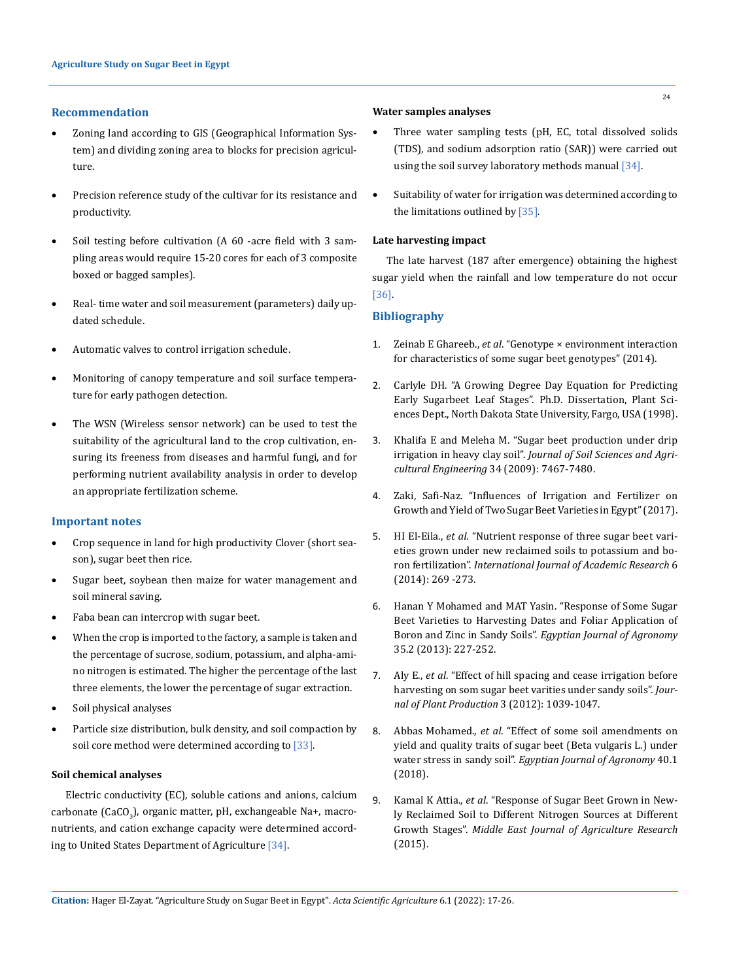### **Recommendation**

- Zoning land according to GIS (Geographical Information System) and dividing zoning area to blocks for precision agriculture.
- Precision reference study of the cultivar for its resistance and productivity.
- Soil testing before cultivation (A 60 -acre field with 3 sampling areas would require 15-20 cores for each of 3 composite boxed or bagged samples).
- Real-time water and soil measurement (parameters) daily updated schedule.
- Automatic valves to control irrigation schedule.
- Monitoring of canopy temperature and soil surface temperature for early pathogen detection.
- The WSN (Wireless sensor network) can be used to test the suitability of the agricultural land to the crop cultivation, ensuring its freeness from diseases and harmful fungi, and for performing nutrient availability analysis in order to develop an appropriate fertilization scheme.

#### **Important notes**

- • Crop sequence in land for high productivity Clover (short season), sugar beet then rice.
- Sugar beet, soybean then maize for water management and soil mineral saving.
- Faba bean can intercrop with sugar beet.
- When the crop is imported to the factory, a sample is taken and the percentage of sucrose, sodium, potassium, and alpha-amino nitrogen is estimated. The higher the percentage of the last three elements, the lower the percentage of sugar extraction.
- Soil physical analyses
- Particle size distribution, bulk density, and soil compaction by soil core method were determined according to [33].

### **Soil chemical analyses**

Electric conductivity (EC), soluble cations and anions, calcium carbonate (CaCO<sub>3</sub>), organic matter, pH, exchangeable Na+, macronutrients, and cation exchange capacity were determined according to United States Department of Agriculture [34].

#### **Water samples analyses**

- Three water sampling tests (pH, EC, total dissolved solids (TDS), and sodium adsorption ratio (SAR)) were carried out using the soil survey laboratory methods manual [34].
- • Suitability of water for irrigation was determined according to the limitations outlined by [35].

#### **Late harvesting impact**

The late harvest (187 after emergence) obtaining the highest sugar yield when the rainfall and low temperature do not occur [36].

#### **Bibliography**

- 1. Zeinab E Ghareeb., *et al*[. "Genotype × environment interaction](https://jpp.journals.ekb.eg/article_55434.html)  [for characteristics of some sugar beet genotypes" \(2014\).](https://jpp.journals.ekb.eg/article_55434.html)
- 2. Carlyle DH. "A Growing Degree Day Equation for Predicting Early Sugarbeet Leaf Stages". Ph.D. Dissertation, Plant Sciences Dept., North Dakota State University, Fargo, USA (1998).
- 3. [Khalifa E and Meleha M. "Sugar beet production under drip](https://journals.ekb.eg/article_103875.html)  irrigation in heavy clay soil". *[Journal of Soil Sciences and Agri](https://journals.ekb.eg/article_103875.html)[cultural Engineering](https://journals.ekb.eg/article_103875.html)* 34 (2009): 7467-7480.
- 4. Zaki, Safi-Naz. "Influences of Irrigation and Fertilizer on Growth and Yield of Two Sugar Beet Varieties in Egypt" (2017).
- 5. HI El-Eila., *et al*[. "Nutrient response of three sugar beet vari](https://www.researchgate.net/publication/284733326_Nutrient_response_of_three_sugar_beet_varieties_grown_under_new_reclaimed_soils_to_potassium_and_boron_fertilization_International_Journal_of_Academic_Research_6_269_-273)[eties grown under new reclaimed soils to potassium and bo](https://www.researchgate.net/publication/284733326_Nutrient_response_of_three_sugar_beet_varieties_grown_under_new_reclaimed_soils_to_potassium_and_boron_fertilization_International_Journal_of_Academic_Research_6_269_-273)ron fertilization". *[International Journal of Academic Research](https://www.researchgate.net/publication/284733326_Nutrient_response_of_three_sugar_beet_varieties_grown_under_new_reclaimed_soils_to_potassium_and_boron_fertilization_International_Journal_of_Academic_Research_6_269_-273)* 6 [\(2014\): 269 -273.](https://www.researchgate.net/publication/284733326_Nutrient_response_of_three_sugar_beet_varieties_grown_under_new_reclaimed_soils_to_potassium_and_boron_fertilization_International_Journal_of_Academic_Research_6_269_-273)
- 6. [Hanan Y Mohamed and MAT Yasin. "Response of Some Sugar](https://agro.journals.ekb.eg/article_89.html)  [Beet Varieties to Harvesting Dates and Foliar Application of](https://agro.journals.ekb.eg/article_89.html)  Boron and Zinc in Sandy Soils". *[Egyptian Journal of Agronomy](https://agro.journals.ekb.eg/article_89.html)*  [35.2 \(2013\): 227-252.](https://agro.journals.ekb.eg/article_89.html)
- 7. Aly E., *et al*[. "Effect of hill spacing and cease irrigation before](https://jpp.journals.ekb.eg/article_84277.html)  [harvesting on som sugar beet varities under sandy soils".](https://jpp.journals.ekb.eg/article_84277.html) *Jour[nal of Plant Production](https://jpp.journals.ekb.eg/article_84277.html)* 3 (2012): 1039-1047.
- 8. Abbas Mohamed., *et al*[. "Effect of some soil amendments on](https://www.researchgate.net/publication/324976881_Effect_of_some_soil_amendments_on_yield_and_quality_traits_of_sugar_beet_Beta_vulgaris_L_under_water_stress_in_sandy_soil)  [yield and quality traits of sugar beet \(Beta vulgaris L.\) under](https://www.researchgate.net/publication/324976881_Effect_of_some_soil_amendments_on_yield_and_quality_traits_of_sugar_beet_Beta_vulgaris_L_under_water_stress_in_sandy_soil)  water stress in sandy soil". *[Egyptian Journal of Agronomy](https://www.researchgate.net/publication/324976881_Effect_of_some_soil_amendments_on_yield_and_quality_traits_of_sugar_beet_Beta_vulgaris_L_under_water_stress_in_sandy_soil)* 40.1 [\(2018\).](https://www.researchgate.net/publication/324976881_Effect_of_some_soil_amendments_on_yield_and_quality_traits_of_sugar_beet_Beta_vulgaris_L_under_water_stress_in_sandy_soil)
- 9. Kamal K Attia., *et al*[. "Response of Sugar Beet Grown in New](https://www.curresweb.com/mejar/mejar/2015/467-474.pdf)[ly Reclaimed Soil to Different Nitrogen Sources at Different](https://www.curresweb.com/mejar/mejar/2015/467-474.pdf)  Growth Stages". *[Middle East Journal of Agriculture Research](https://www.curresweb.com/mejar/mejar/2015/467-474.pdf)* [\(2015\).](https://www.curresweb.com/mejar/mejar/2015/467-474.pdf)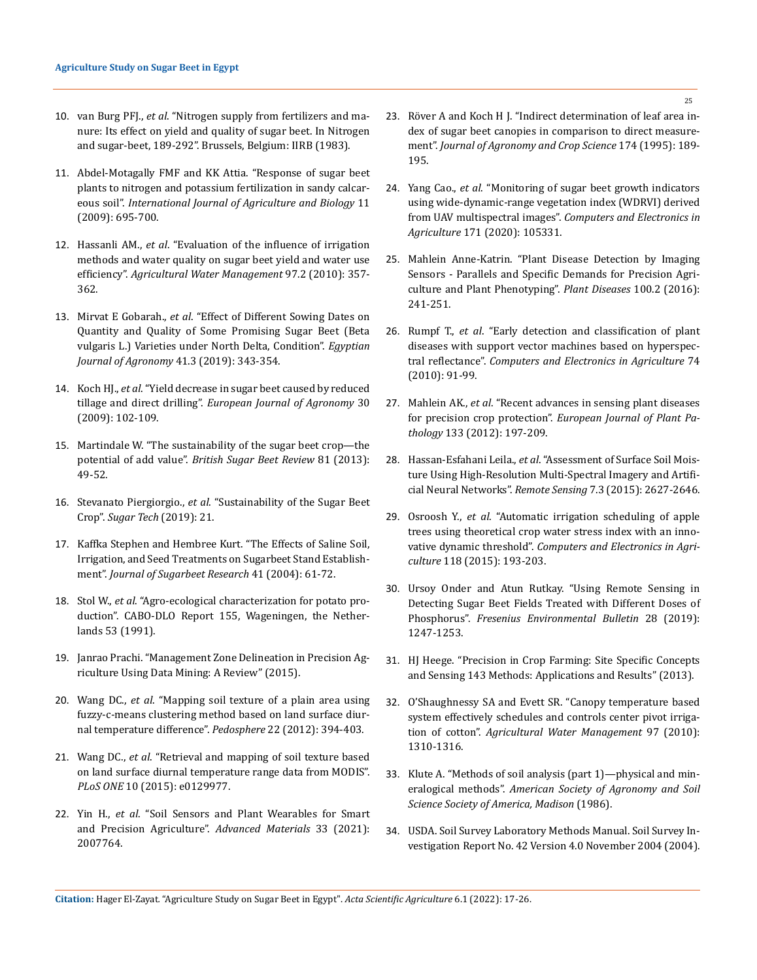- 10. van Burg PFJ., *et al*. "Nitrogen supply from fertilizers and manure: Its effect on yield and quality of sugar beet. In Nitrogen and sugar-beet, 189-292". Brussels, Belgium: IIRB (1983).
- 11. [Abdel-Motagally FMF and KK Attia. "Response of sugar beet](https://www.researchgate.net/publication/266339443_Response_of_Sugar_Beet_Plants_to_Nitrogen_and_Potassium_Fertilization_in_Sandy_Calcareous_Soil)  [plants to nitrogen and potassium fertilization in sandy calcar](https://www.researchgate.net/publication/266339443_Response_of_Sugar_Beet_Plants_to_Nitrogen_and_Potassium_Fertilization_in_Sandy_Calcareous_Soil)eous soil". *[International Journal of Agriculture and Biology](https://www.researchgate.net/publication/266339443_Response_of_Sugar_Beet_Plants_to_Nitrogen_and_Potassium_Fertilization_in_Sandy_Calcareous_Soil)* 11 [\(2009\): 695-700.](https://www.researchgate.net/publication/266339443_Response_of_Sugar_Beet_Plants_to_Nitrogen_and_Potassium_Fertilization_in_Sandy_Calcareous_Soil)
- 12. Hassanli AM., *et al*[. "Evaluation of the influence of irrigation](http://dx.doi.org/10.1016/j.agwat.2009.10.010)  [methods and water quality on sugar beet yield and water use](http://dx.doi.org/10.1016/j.agwat.2009.10.010)  efficiency". *[Agricultural Water Management](http://dx.doi.org/10.1016/j.agwat.2009.10.010)* 97.2 (2010): 357- [362.](http://dx.doi.org/10.1016/j.agwat.2009.10.010)
- 13. Mirvat E Gobarah., *et al*[. "Effect of Different Sowing Dates on](https://www.researchgate.net/publication/338287144_Effect_of_Different_Sowing_Dates_on_Quantity_and_Quality_of_Some_Promising_Sugar_Beet_Beta_vulgaris_L_Varieties_under_North_Delta_Condition)  [Quantity and Quality of Some Promising Sugar Beet \(Beta](https://www.researchgate.net/publication/338287144_Effect_of_Different_Sowing_Dates_on_Quantity_and_Quality_of_Some_Promising_Sugar_Beet_Beta_vulgaris_L_Varieties_under_North_Delta_Condition)  [vulgaris L.\) Varieties under North Delta, Condition".](https://www.researchgate.net/publication/338287144_Effect_of_Different_Sowing_Dates_on_Quantity_and_Quality_of_Some_Promising_Sugar_Beet_Beta_vulgaris_L_Varieties_under_North_Delta_Condition) *Egyptian [Journal of Agronomy](https://www.researchgate.net/publication/338287144_Effect_of_Different_Sowing_Dates_on_Quantity_and_Quality_of_Some_Promising_Sugar_Beet_Beta_vulgaris_L_Varieties_under_North_Delta_Condition)* 41.3 (2019): 343-354.
- 14. Koch HJ., *et al*. "Yield decrease in sugar beet caused by reduced tillage and direct drilling". *European Journal of Agronomy* 30 (2009): 102-109.
- 15. Martindale W. "The sustainability of the sugar beet crop—the potential of add value". *British Sugar Beet Review* 81 (2013): 49-52.
- 16. Stevanato Piergiorgio., *et al*[. "Sustainability of the Sugar Beet](https://link.springer.com/article/10.1007/s12355-019-00734-9)  Crop". *[Sugar Tech](https://link.springer.com/article/10.1007/s12355-019-00734-9)* (2019): 21.
- 17. [Kaffka Stephen and Hembree Kurt. "The Effects of Saline Soil,](https://www.researchgate.net/publication/250397064_The_Effects_of_Saline_Soil_Irrigation_and_Seed_Treatments_on_Sugarbeet_Stand_Establishment)  [Irrigation, and Seed Treatments on Sugarbeet Stand Establish](https://www.researchgate.net/publication/250397064_The_Effects_of_Saline_Soil_Irrigation_and_Seed_Treatments_on_Sugarbeet_Stand_Establishment)ment". *[Journal of Sugarbeet Research](https://www.researchgate.net/publication/250397064_The_Effects_of_Saline_Soil_Irrigation_and_Seed_Treatments_on_Sugarbeet_Stand_Establishment)* 41 (2004): 61-72.
- 18. Stol W., *et al*. "Agro-ecological characterization for potato production". CABO-DLO Report 155, Wageningen, the Netherlands 53 (1991).
- 19. [Janrao Prachi. "Management Zone Delineation in Precision Ag](https://ieeexplore.ieee.org/document/7193256)[riculture Using Data Mining: A Review" \(2015\).](https://ieeexplore.ieee.org/document/7193256)
- 20. Wang DC., *et al*[. "Mapping soil texture of a plain area using](http://dx.doi.org/10.1016/S1002-0160(12)60025-3)  [fuzzy-c-means clustering method based on land surface diur](http://dx.doi.org/10.1016/S1002-0160(12)60025-3)[nal temperature difference".](http://dx.doi.org/10.1016/S1002-0160(12)60025-3) *Pedosphere* 22 (2012): 394-403.
- 21. Wang DC., *et al*[. "Retrieval and mapping of soil texture based](https://journals.plos.org/plosone/article?id=10.1371/journal.pone.0129977)  [on land surface diurnal temperature range data from MODIS".](https://journals.plos.org/plosone/article?id=10.1371/journal.pone.0129977)  *PLoS ONE* [10 \(2015\): e0129977.](https://journals.plos.org/plosone/article?id=10.1371/journal.pone.0129977)
- 22. Yin H., *et al*[. "Soil Sensors and Plant Wearables for Smart](https://doi.org/10.1002/adma.202007764)  [and Precision Agriculture".](https://doi.org/10.1002/adma.202007764) *Advanced Materials* 33 (2021): [2007764.](https://doi.org/10.1002/adma.202007764)
- 23. [Röver A and Koch H J. "Indirect determination of leaf area in](https://onlinelibrary.wiley.com/doi/10.1111/j.1439-037X.1995.tb01102.x)[dex of sugar beet canopies in comparison to direct measure](https://onlinelibrary.wiley.com/doi/10.1111/j.1439-037X.1995.tb01102.x)ment". *[Journal of Agronomy and Crop Science](https://onlinelibrary.wiley.com/doi/10.1111/j.1439-037X.1995.tb01102.x)* 174 (1995): 189- [195.](https://onlinelibrary.wiley.com/doi/10.1111/j.1439-037X.1995.tb01102.x)
- 24. Yang Cao., *et al*[. "Monitoring of sugar beet growth indicators](https://doi.org/10.1016/j.compag.2020.105331)  [using wide-dynamic-range vegetation index \(WDRVI\) derived](https://doi.org/10.1016/j.compag.2020.105331)  from UAV multispectral images". *[Computers and Electronics in](https://doi.org/10.1016/j.compag.2020.105331)  Agriculture* [171 \(2020\): 105331.](https://doi.org/10.1016/j.compag.2020.105331)
- 25. Mahlein Anne-Katrin. "Plant Disease Detection by Imaging Sensors - Parallels and Specific Demands for Precision Agriculture and Plant Phenotyping". *Plant Diseases* 100.2 (2016): 241-251.
- 26. Rumpf T., *et al*[. "Early detection and classification of plant](https://www.sciencedirect.com/science/article/abs/pii/S0168169910001262)  [diseases with support vector machines based on hyperspec](https://www.sciencedirect.com/science/article/abs/pii/S0168169910001262)tral reflectance". *[Computers and Electronics in Agriculture](https://www.sciencedirect.com/science/article/abs/pii/S0168169910001262)* 74 [\(2010\): 91-99.](https://www.sciencedirect.com/science/article/abs/pii/S0168169910001262)
- 27. Mahlein AK., *et al*[. "Recent advances in sensing plant diseases](http://dx.doi.org/10.1007/s10658-011-9878-z)  for precision crop protection". *[European Journal of Plant Pa](http://dx.doi.org/10.1007/s10658-011-9878-z)thology* [133 \(2012\): 197-209.](http://dx.doi.org/10.1007/s10658-011-9878-z)
- 28. Hassan-Esfahani Leila., *et al*[. "Assessment of Surface Soil Mois](https://doi.org/10.3390/rs70302627)[ture Using High-Resolution Multi-Spectral Imagery and Artifi](https://doi.org/10.3390/rs70302627)cial Neural Networks". *Remote Sensing* [7.3 \(2015\): 2627-2646.](https://doi.org/10.3390/rs70302627)
- 29. Osroosh Y., *et al*[. "Automatic irrigation scheduling of apple](https://www.sciencedirect.com/science/article/abs/pii/S0168169915002811)  [trees using theoretical crop water stress index with an inno](https://www.sciencedirect.com/science/article/abs/pii/S0168169915002811)vative dynamic threshold". *[Computers and Electronics in Agri](https://www.sciencedirect.com/science/article/abs/pii/S0168169915002811)culture* [118 \(2015\): 193-203.](https://www.sciencedirect.com/science/article/abs/pii/S0168169915002811)
- 30. [Ursoy Onder and Atun Rutkay. "Using Remote Sensing in](https://www.researchgate.net/publication/331261569_Using_Remote_Sensing_in_Detecting_Sugar_Beet_Fields_Treated_with_Different_Doses_of_Phosphorus)  [Detecting Sugar Beet Fields Treated with Different Doses of](https://www.researchgate.net/publication/331261569_Using_Remote_Sensing_in_Detecting_Sugar_Beet_Fields_Treated_with_Different_Doses_of_Phosphorus)  Phosphorus". *[Fresenius Environmental Bulletin](https://www.researchgate.net/publication/331261569_Using_Remote_Sensing_in_Detecting_Sugar_Beet_Fields_Treated_with_Different_Doses_of_Phosphorus)* 28 (2019): [1247-1253.](https://www.researchgate.net/publication/331261569_Using_Remote_Sensing_in_Detecting_Sugar_Beet_Fields_Treated_with_Different_Doses_of_Phosphorus)
- 31. [HJ Heege. "Precision in Crop Farming: Site Specific Concepts](https://link.springer.com/book/10.1007%2F978-94-007-6760-7)  [and Sensing 143 Methods: Applications and Results" \(2013\).](https://link.springer.com/book/10.1007%2F978-94-007-6760-7)
- 32. [O'Shaughnessy SA and Evett SR. "Canopy temperature based](https://www.sciencedirect.com/science/article/abs/pii/S0378377410001095)  [system effectively schedules and controls center pivot irriga](https://www.sciencedirect.com/science/article/abs/pii/S0378377410001095)tion of cotton". *[Agricultural Water Management](https://www.sciencedirect.com/science/article/abs/pii/S0378377410001095)* 97 (2010): [1310-1316.](https://www.sciencedirect.com/science/article/abs/pii/S0378377410001095)
- 33. [Klute A. "Methods of soil analysis \(part 1\)—physical and min](https://acsess.onlinelibrary.wiley.com/doi/book/10.2136/sssabookser5.1.2ed)eralogical methods". *[American Society of Agronomy and Soil](https://acsess.onlinelibrary.wiley.com/doi/book/10.2136/sssabookser5.1.2ed)  [Science Society of America, Madison](https://acsess.onlinelibrary.wiley.com/doi/book/10.2136/sssabookser5.1.2ed)* (1986).
- 34. USDA. Soil Survey Laboratory Methods Manual. Soil Survey Investigation Report No. 42 Version 4.0 November 2004 (2004).

**Citation:** Hager El-Zayat*.* "Agriculture Study on Sugar Beet in Egypt". *Acta Scientific Agriculture* 6.1 (2022): 17-26.